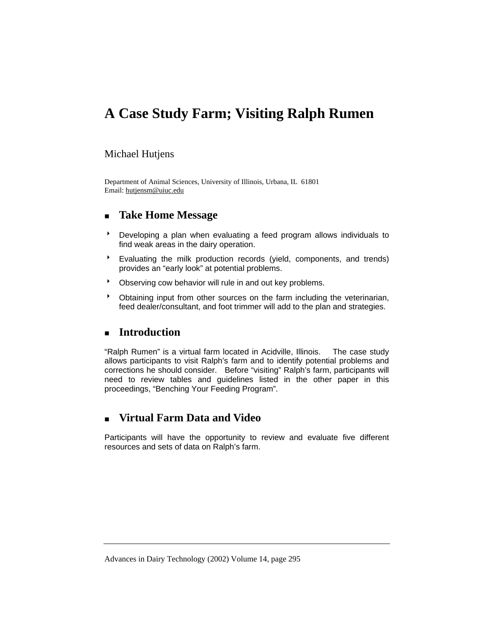# **A Case Study Farm; Visiting Ralph Rumen**

#### Michael Hutjens

Department of Animal Sciences, University of Illinois, Urbana, IL 61801 Email: hutjensm@uiuc.edu

#### **Take Home Message**

- **BED** Developing a plan when evaluating a feed program allows individuals to find weak areas in the dairy operation.
- \* Evaluating the milk production records (yield, components, and trends) provides an "early look" at potential problems.
- **BED Observing cow behavior will rule in and out key problems.**
- \* Obtaining input from other sources on the farm including the veterinarian, feed dealer/consultant, and foot trimmer will add to the plan and strategies.

## **Introduction**

"Ralph Rumen" is a virtual farm located in Acidville, Illinois. The case study allows participants to visit Ralph's farm and to identify potential problems and corrections he should consider. Before "visiting" Ralph's farm, participants will need to review tables and guidelines listed in the other paper in this proceedings, "Benching Your Feeding Program".

## **Virtual Farm Data and Video**

Participants will have the opportunity to review and evaluate five different resources and sets of data on Ralph's farm.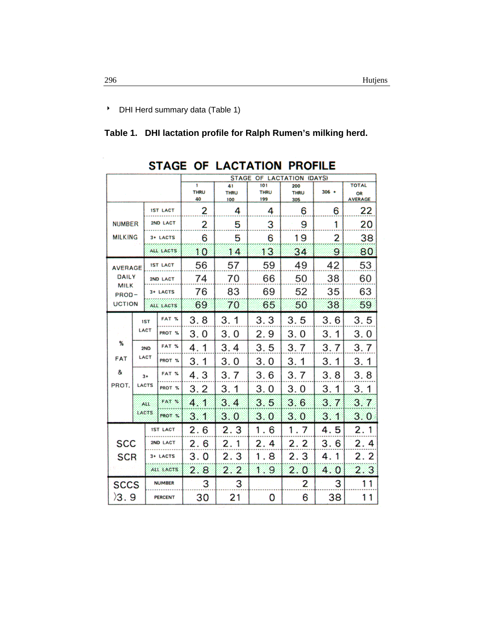**B** DHI Herd summary data (Table 1)

**Table 1. DHI lactation profile for Ralph Rumen's milking herd.** 

|                                                       |                      |                 |                 | <b>STAGE</b><br>OF LACTATION (DAYS) |                          |                           |                           |          |                                      |
|-------------------------------------------------------|----------------------|-----------------|-----------------|-------------------------------------|--------------------------|---------------------------|---------------------------|----------|--------------------------------------|
|                                                       |                      |                 |                 | 1<br><b>THRU</b><br>40              | 41<br><b>THRU</b><br>100 | 101<br><b>THRU</b><br>199 | 200<br><b>THRU</b><br>305 | $306 +$  | <b>TOTAL</b><br>OR<br><b>AVERAGE</b> |
| <b>NUMBER</b><br><b>MILKING</b>                       |                      | <b>IST LACT</b> |                 | 2                                   | 4                        | 4                         | 6                         | 6        | 22                                   |
|                                                       |                      | 2ND LACT        |                 | 2                                   | 5                        | 3                         | 9                         | 1        | 20                                   |
|                                                       |                      | 3+ LACTS        |                 | 6                                   | 5                        | 6                         | 19                        | 2        | 38                                   |
|                                                       |                      | ALL LACTS       |                 | 10                                  | 14                       | 13                        | 34                        | 9        | 80                                   |
| <b>AVERAGE</b>                                        |                      |                 | <b>IST LACT</b> | 56                                  | 57                       | 59                        | 49                        | 42       | 53                                   |
| <b>DAILY</b><br><b>MILK</b><br>PROD-<br><b>UCTION</b> |                      |                 | 2ND LACT        | 74                                  | 70                       | 66                        | 50                        | 38       | 60                                   |
|                                                       |                      |                 | 3+ LACTS        | 76                                  | 83                       | 69                        | 52                        | 35       | 63                                   |
|                                                       |                      |                 | ALL LACTS       | 69                                  | 70                       | 65                        | 50                        | 38       | 59                                   |
|                                                       | <b>IST</b><br>LACT   |                 | FAT %           | 3.8                                 | 3.1                      | 3.3                       | 3.5                       | 3.6      | 3.5                                  |
|                                                       |                      |                 | PROT %          | 3.0                                 | 3.0                      | 2.9                       | 3.0                       | 3:1      | 3.0                                  |
| %                                                     | 2ND<br>LACT          |                 | FAT %           | 4.<br>1                             | 3.4                      | 3.5                       | 3.7                       | 3.<br>7  | 3.7                                  |
| <b>FAT</b>                                            |                      |                 | PROT %          | 3.1                                 | 3.0                      | 3.0                       | 3.1                       | 3.<br>1  | 3.1                                  |
| &                                                     | $3+$<br><b>LACTS</b> |                 | FAT %           | 4.3                                 | 3.7                      | 3.6                       | 3.7                       | 3.8      | 3.8                                  |
| PROT.                                                 |                      |                 | PROT %          | 3.2                                 | 3.1                      | 3.0                       | 3.0                       | 3.<br>1  | 3.1                                  |
|                                                       | ALL<br>LACTS         |                 | FAT 7           | 4.1                                 | 3.4                      | 3.5                       | 3.6                       | 3.<br>7  | 3.7                                  |
|                                                       |                      |                 | PROT. Y         | 3.1                                 | 3.0                      | 3.0                       | 3.0                       | 3.1      | 3.0                                  |
|                                                       |                      | <b>IST LACT</b> |                 | 2.6                                 | 2.3                      | 1.6                       | Ť.<br>-7                  | 4.5      | 2.1                                  |
| <b>SCC</b>                                            |                      | 2ND LACT        |                 | 2.6                                 | 2.1                      | 2.4                       | 2.2                       | 3.6      | 2.4                                  |
| <b>SCR</b>                                            |                      | 3+ LACTS        |                 | 3.0                                 | 2.3                      | 1.8                       | 2.3                       | 4.<br>-1 | 2.2                                  |
|                                                       |                      | ALL LACTS       |                 | 2.8                                 | 2.2                      | 1.9                       | 2.0                       | 4.0      | 2.3                                  |
| <b>SCCS</b>                                           |                      | <b>NUMBER</b>   |                 | 3                                   | 3                        |                           | 2                         | 3        | 11                                   |
| )3.9                                                  |                      | <b>PERCENT</b>  |                 | 30                                  | 21                       | 0                         | 6                         | 38       | 11                                   |

## STAGE OF LACTATION PROFILE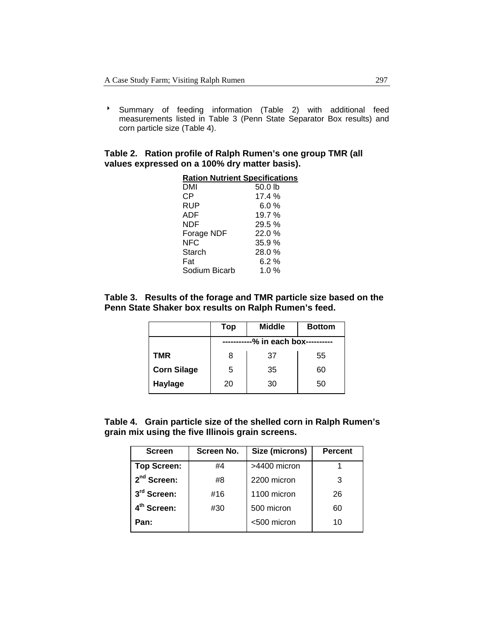<sup>></sup> Summary of feeding information (Table 2) with additional feed measurements listed in Table 3 (Penn State Separator Box results) and corn particle size (Table 4).

#### **Table 2. Ration profile of Ralph Rumen's one group TMR (all values expressed on a 100% dry matter basis).**

| <b>Ration Nutrient Specifications</b> |         |
|---------------------------------------|---------|
| DMI                                   | 50.0 lb |
| СP                                    | 17.4%   |
| RUP                                   | 6.0%    |
| ADF                                   | 19.7%   |
| NDF                                   | 29.5%   |
| Forage NDF                            | 22.0%   |
| NFC                                   | 35.9%   |
| Starch                                | 28.0%   |
| Fat                                   | 6.2%    |
| Sodium Bicarb                         | 1.0 $%$ |
|                                       |         |

#### **Table 3. Results of the forage and TMR particle size based on the Penn State Shaker box results on Ralph Rumen's feed.**

|                    | Top                      | <b>Middle</b> | <b>Bottom</b> |  |  |
|--------------------|--------------------------|---------------|---------------|--|--|
|                    | -% in each box---------- |               |               |  |  |
| TMR                | 8                        | 37            | 55            |  |  |
| <b>Corn Silage</b> | 5                        | 35            | 60            |  |  |
| Haylage            | 20                       | 30            | 50            |  |  |

**Table 4. Grain particle size of the shelled corn in Ralph Rumen's grain mix using the five Illinois grain screens.** 

| <b>Screen</b>           | Screen No. | Size (microns) | <b>Percent</b> |
|-------------------------|------------|----------------|----------------|
| <b>Top Screen:</b>      | #4         | >4400 micron   |                |
| $2nd$ Screen:           | #8         | 2200 micron    | 3              |
| 3 <sup>rd</sup> Screen: | #16        | 1100 micron    | 26             |
| 4 <sup>th</sup> Screen: | #30        | 500 micron     | 60             |
| Pan:                    |            | <500 micron    | 10             |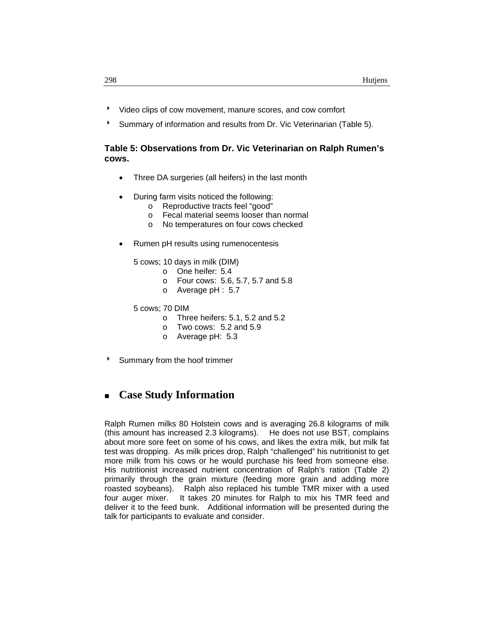- 8 Video clips of cow movement, manure scores, and cow comfort
- Summary of information and results from Dr. Vic Veterinarian (Table 5).

#### **Table 5: Observations from Dr. Vic Veterinarian on Ralph Rumen's cows.**

- Three DA surgeries (all heifers) in the last month
- During farm visits noticed the following:
	- o Reproductive tracts feel "good"
	- o Fecal material seems looser than normal
	- o No temperatures on four cows checked
- Rumen pH results using rumenocentesis

5 cows; 10 days in milk (DIM)

- o One heifer: 5.4
- o Four cows: 5.6, 5.7, 5.7 and 5.8
- o Average pH : 5.7

5 cows; 70 DIM

- o Three heifers:  $5.1$ ,  $5.2$  and  $5.2$ <br>o Two cows:  $5.2$  and  $5.9$ 
	- Two cows:  $5.2$  and  $5.9$
- o Average pH: 5.3
- Summary from the hoof trimmer

## **Case Study Information**

Ralph Rumen milks 80 Holstein cows and is averaging 26.8 kilograms of milk (this amount has increased 2.3 kilograms). He does not use BST, complains about more sore feet on some of his cows, and likes the extra milk, but milk fat test was dropping. As milk prices drop, Ralph "challenged" his nutritionist to get more milk from his cows or he would purchase his feed from someone else. His nutritionist increased nutrient concentration of Ralph's ration (Table 2) primarily through the grain mixture (feeding more grain and adding more roasted soybeans). Ralph also replaced his tumble TMR mixer with a used four auger mixer. It takes 20 minutes for Ralph to mix his TMR feed and deliver it to the feed bunk. Additional information will be presented during the talk for participants to evaluate and consider.